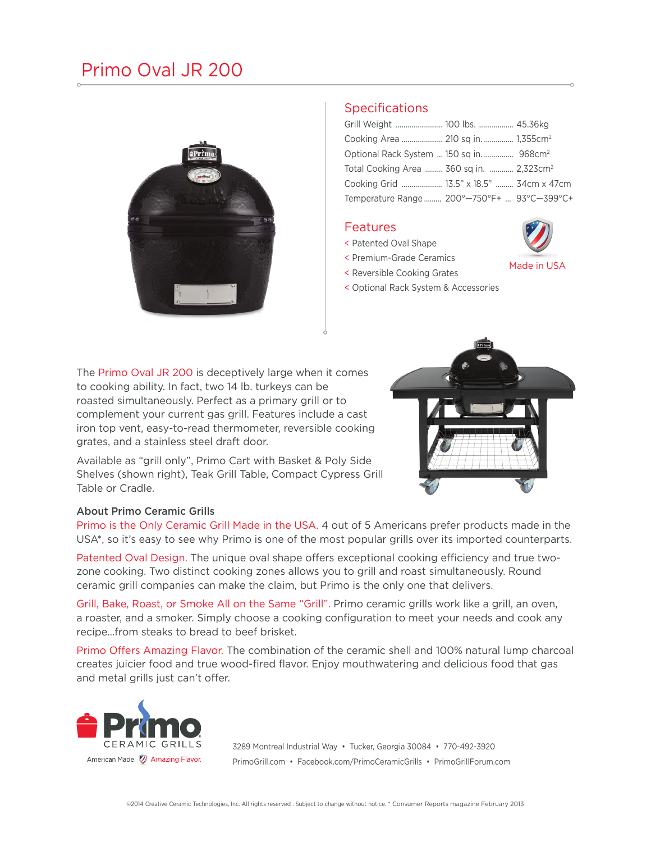## Primo Oval JR 200



### **Specifications**

| Optional Rack System  150 sq in.  968cm <sup>2</sup> |  |
|------------------------------------------------------|--|
| Total Cooking Area  360 sq in.  2,323cm <sup>2</sup> |  |
| Cooking Grid  13.5" x 18.5"  34cm x 47cm             |  |
| Temperature Range 200°-750°F+  93°C-399°C+           |  |

#### **Features**

- < Patented Oval Shape
- < Premium-Grade Ceramics
- < Reversible Cooking Grates
- Made in USA
- < Optional Rack System & Accessories

The Primo Oval JR 200 is deceptively large when it comes to cooking ability. In fact, two 14 lb. turkeys can be roasted simultaneously. Perfect as a primary grill or to complement your current gas grill. Features include a cast iron top vent, easy-to-read thermometer, reversible cooking grates, and a stainless steel draft door.

Available as "grill only", Primo Cart with Basket & Poly Side Shelves (shown right), Teak Grill Table, Compact Cypress Grill Table or Cradle.



#### About Primo Ceramic Grills

Primo is the Only Ceramic Grill Made in the USA. 4 out of 5 Americans prefer products made in the USA\*, so it's easy to see why Primo is one of the most popular grills over its imported counterparts.

Patented Oval Design. The unique oval shape offers exceptional cooking efficiency and true twozone cooking. Two distinct cooking zones allows you to grill and roast simultaneously. Round ceramic grill companies can make the claim, but Primo is the only one that delivers.

Grill, Bake, Roast, or Smoke All on the Same "Grill". Primo ceramic grills work like a grill, an oven, a roaster, and a smoker. Simply choose a cooking configuration to meet your needs and cook any recipe...from steaks to bread to beef brisket.

Primo Offers Amazing Flavor. The combination of the ceramic shell and 100% natural lump charcoal creates juicier food and true wood-fired flavor. Enjoy mouthwatering and delicious food that gas and metal grills just can't offer.



3289 Montreal Industrial Way • Tucker, Georgia 30084 • 770-492-3920 PrimoGrill.com • Facebook.com/PrimoCeramicGrills • PrimoGrillForum.com